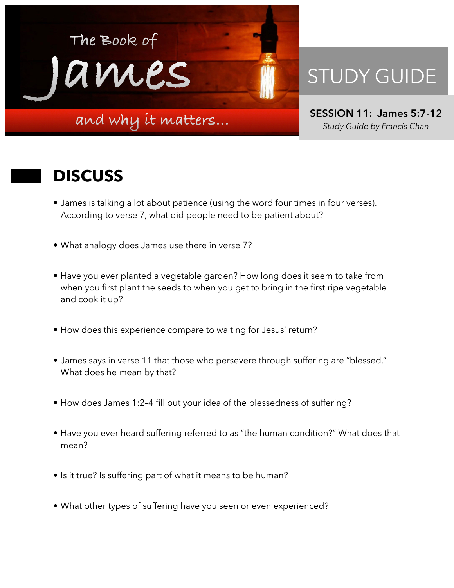

## STUDY GUIDE

**SESSION 11: James 5:7-12**  *Study Guide by Francis Chan*

## **DISCUSS**

- James is talking a lot about patience (using the word four times in four verses). According to verse 7, what did people need to be patient about?
- What analogy does James use there in verse 7?
- Have you ever planted a vegetable garden? How long does it seem to take from when you first plant the seeds to when you get to bring in the first ripe vegetable and cook it up?
- How does this experience compare to waiting for Jesus' return?
- James says in verse 11 that those who persevere through suffering are "blessed." What does he mean by that?
- How does James 1:2–4 fill out your idea of the blessedness of suffering?
- Have you ever heard suffering referred to as "the human condition?" What does that mean?
- Is it true? Is suffering part of what it means to be human?
- What other types of suffering have you seen or even experienced?